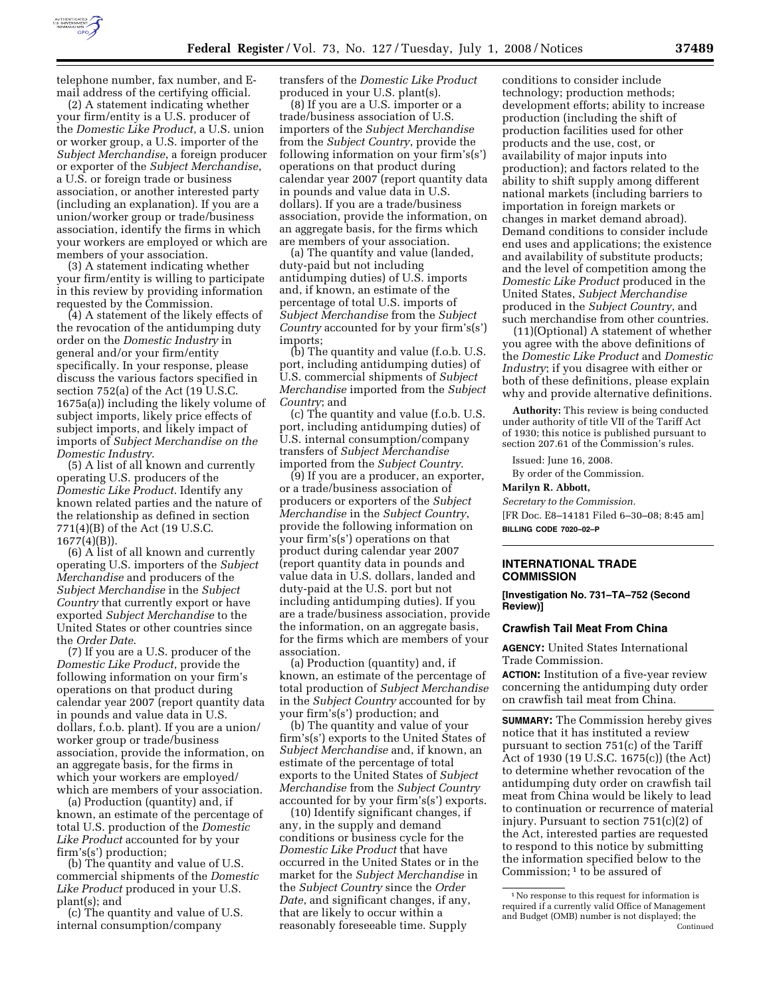

telephone number, fax number, and Email address of the certifying official.

(2) A statement indicating whether your firm/entity is a U.S. producer of the *Domestic Like Product*, a U.S. union or worker group, a U.S. importer of the *Subject Merchandise*, a foreign producer or exporter of the *Subject Merchandise*, a U.S. or foreign trade or business association, or another interested party (including an explanation). If you are a union/worker group or trade/business association, identify the firms in which your workers are employed or which are members of your association.

(3) A statement indicating whether your firm/entity is willing to participate in this review by providing information requested by the Commission.

(4) A statement of the likely effects of the revocation of the antidumping duty order on the *Domestic Industry* in general and/or your firm/entity specifically. In your response, please discuss the various factors specified in section 752(a) of the Act (19 U.S.C. 1675a(a)) including the likely volume of subject imports, likely price effects of subject imports, and likely impact of imports of *Subject Merchandise on the Domestic Industry*.

(5) A list of all known and currently operating U.S. producers of the *Domestic Like Product*. Identify any known related parties and the nature of the relationship as defined in section 771(4)(B) of the Act (19 U.S.C. 1677(4)(B)).

(6) A list of all known and currently operating U.S. importers of the *Subject Merchandise* and producers of the *Subject Merchandise* in the *Subject Country* that currently export or have exported *Subject Merchandise* to the United States or other countries since the *Order Date*.

(7) If you are a U.S. producer of the *Domestic Like Product*, provide the following information on your firm's operations on that product during calendar year 2007 (report quantity data in pounds and value data in U.S. dollars, f.o.b. plant). If you are a union/ worker group or trade/business association, provide the information, on an aggregate basis, for the firms in which your workers are employed/ which are members of your association.

(a) Production (quantity) and, if known, an estimate of the percentage of total U.S. production of the *Domestic Like Product* accounted for by your firm's(s') production;

(b) The quantity and value of U.S. commercial shipments of the *Domestic Like Product* produced in your U.S. plant(s); and

(c) The quantity and value of U.S. internal consumption/company

transfers of the *Domestic Like Product*  produced in your U.S. plant(s).

(8) If you are a U.S. importer or a trade/business association of U.S. importers of the *Subject Merchandise*  from the *Subject Country*, provide the following information on your firm's(s') operations on that product during calendar year 2007 (report quantity data in pounds and value data in U.S. dollars). If you are a trade/business association, provide the information, on an aggregate basis, for the firms which are members of your association.

(a) The quantity and value (landed, duty-paid but not including antidumping duties) of U.S. imports and, if known, an estimate of the percentage of total U.S. imports of *Subject Merchandise* from the *Subject Country* accounted for by your firm's(s') imports;

(b) The quantity and value (f.o.b. U.S. port, including antidumping duties) of U.S. commercial shipments of *Subject Merchandise* imported from the *Subject Country*; and

(c) The quantity and value (f.o.b. U.S. port, including antidumping duties) of U.S. internal consumption/company transfers of *Subject Merchandise*  imported from the *Subject Country*.

(9) If you are a producer, an exporter, or a trade/business association of producers or exporters of the *Subject Merchandise* in the *Subject Country*, provide the following information on your firm's(s') operations on that product during calendar year 2007 (report quantity data in pounds and value data in U.S. dollars, landed and duty-paid at the U.S. port but not including antidumping duties). If you are a trade/business association, provide the information, on an aggregate basis, for the firms which are members of your association.

(a) Production (quantity) and, if known, an estimate of the percentage of total production of *Subject Merchandise*  in the *Subject Country* accounted for by your firm's(s') production; and

(b) The quantity and value of your firm's(s') exports to the United States of *Subject Merchandise* and, if known, an estimate of the percentage of total exports to the United States of *Subject Merchandise* from the *Subject Country*  accounted for by your firm's(s') exports.

(10) Identify significant changes, if any, in the supply and demand conditions or business cycle for the *Domestic Like Product* that have occurred in the United States or in the market for the *Subject Merchandise* in the *Subject Country* since the *Order Date*, and significant changes, if any, that are likely to occur within a reasonably foreseeable time. Supply

conditions to consider include technology; production methods; development efforts; ability to increase production (including the shift of production facilities used for other products and the use, cost, or availability of major inputs into production); and factors related to the ability to shift supply among different national markets (including barriers to importation in foreign markets or changes in market demand abroad). Demand conditions to consider include end uses and applications; the existence and availability of substitute products; and the level of competition among the *Domestic Like Product* produced in the United States, *Subject Merchandise*  produced in the *Subject Country*, and such merchandise from other countries.

(11)(Optional) A statement of whether you agree with the above definitions of the *Domestic Like Product* and *Domestic Industry*; if you disagree with either or both of these definitions, please explain why and provide alternative definitions.

**Authority:** This review is being conducted under authority of title VII of the Tariff Act of 1930; this notice is published pursuant to section 207.61 of the Commission's rules.

Issued: June 16, 2008.

By order of the Commission.

#### **Marilyn R. Abbott,**

*Secretary to the Commission.* 

[FR Doc. E8–14181 Filed 6–30–08; 8:45 am] **BILLING CODE 7020–02–P** 

### **INTERNATIONAL TRADE COMMISSION**

**[Investigation No. 731–TA–752 (Second Review)]** 

### **Crawfish Tail Meat From China**

**AGENCY:** United States International Trade Commission.

**ACTION:** Institution of a five-year review concerning the antidumping duty order on crawfish tail meat from China.

**SUMMARY:** The Commission hereby gives notice that it has instituted a review pursuant to section 751(c) of the Tariff Act of 1930 (19 U.S.C. 1675(c)) (the Act) to determine whether revocation of the antidumping duty order on crawfish tail meat from China would be likely to lead to continuation or recurrence of material injury. Pursuant to section 751(c)(2) of the Act, interested parties are requested to respond to this notice by submitting the information specified below to the Commission; 1 to be assured of

<sup>1</sup>No response to this request for information is required if a currently valid Office of Management and Budget (OMB) number is not displayed; the Continued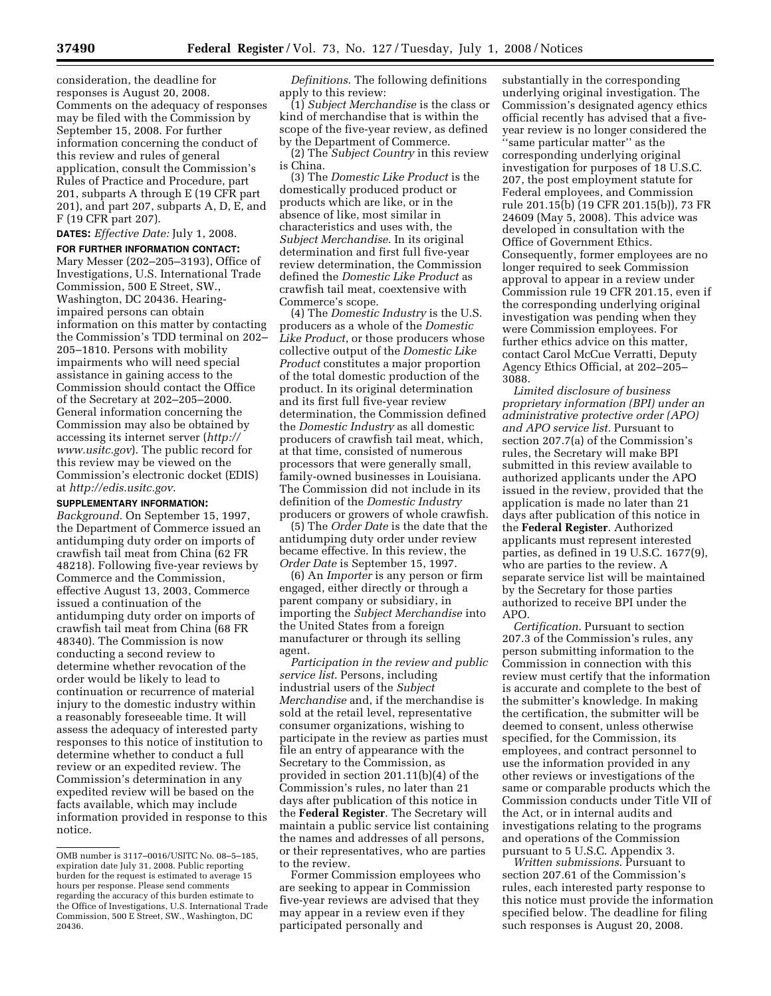consideration, the deadline for responses is August 20, 2008. Comments on the adequacy of responses may be filed with the Commission by September 15, 2008. For further information concerning the conduct of this review and rules of general application, consult the Commission's Rules of Practice and Procedure, part 201, subparts A through E (19 CFR part 201), and part 207, subparts A, D, E, and F (19 CFR part 207).

**DATES:** *Effective Date:* July 1, 2008.

**FOR FURTHER INFORMATION CONTACT:**  Mary Messer (202–205–3193), Office of Investigations, U.S. International Trade Commission, 500 E Street, SW., Washington, DC 20436. Hearingimpaired persons can obtain information on this matter by contacting the Commission's TDD terminal on 202– 205–1810. Persons with mobility impairments who will need special assistance in gaining access to the Commission should contact the Office of the Secretary at 202–205–2000. General information concerning the Commission may also be obtained by accessing its internet server (*http:// www.usitc.gov*). The public record for this review may be viewed on the Commission's electronic docket (EDIS) at *http://edis.usitc.gov*.

# **SUPPLEMENTARY INFORMATION:**

*Background.* On September 15, 1997, the Department of Commerce issued an antidumping duty order on imports of crawfish tail meat from China (62 FR 48218). Following five-year reviews by Commerce and the Commission, effective August 13, 2003, Commerce issued a continuation of the antidumping duty order on imports of crawfish tail meat from China (68 FR 48340). The Commission is now conducting a second review to determine whether revocation of the order would be likely to lead to continuation or recurrence of material injury to the domestic industry within a reasonably foreseeable time. It will assess the adequacy of interested party responses to this notice of institution to determine whether to conduct a full review or an expedited review. The Commission's determination in any expedited review will be based on the facts available, which may include information provided in response to this notice.

*Definitions*. The following definitions apply to this review:

(1) *Subject Merchandise* is the class or kind of merchandise that is within the scope of the five-year review, as defined by the Department of Commerce.

(2) The *Subject Country* in this review is China.

(3) The *Domestic Like Product* is the domestically produced product or products which are like, or in the absence of like, most similar in characteristics and uses with, the *Subject Merchandise*. In its original determination and first full five-year review determination, the Commission defined the *Domestic Like Product* as crawfish tail meat, coextensive with Commerce's scope.

(4) The *Domestic Industry* is the U.S. producers as a whole of the *Domestic Like Product*, or those producers whose collective output of the *Domestic Like Product* constitutes a major proportion of the total domestic production of the product. In its original determination and its first full five-year review determination, the Commission defined the *Domestic Industry* as all domestic producers of crawfish tail meat, which, at that time, consisted of numerous processors that were generally small, family-owned businesses in Louisiana. The Commission did not include in its definition of the *Domestic Industry*  producers or growers of whole crawfish.

(5) The *Order Date* is the date that the antidumping duty order under review became effective. In this review, the *Order Date* is September 15, 1997.

(6) An *Importer* is any person or firm engaged, either directly or through a parent company or subsidiary, in importing the *Subject Merchandise* into the United States from a foreign manufacturer or through its selling agent.

*Participation in the review and public service list*. Persons, including industrial users of the *Subject Merchandise* and, if the merchandise is sold at the retail level, representative consumer organizations, wishing to participate in the review as parties must file an entry of appearance with the Secretary to the Commission, as provided in section 201.11(b)(4) of the Commission's rules, no later than 21 days after publication of this notice in the **Federal Register**. The Secretary will maintain a public service list containing the names and addresses of all persons, or their representatives, who are parties to the review.

Former Commission employees who are seeking to appear in Commission five-year reviews are advised that they may appear in a review even if they participated personally and

substantially in the corresponding underlying original investigation. The Commission's designated agency ethics official recently has advised that a fiveyear review is no longer considered the ''same particular matter'' as the corresponding underlying original investigation for purposes of 18 U.S.C. 207, the post employment statute for Federal employees, and Commission rule 201.15(b) (19 CFR 201.15(b)), 73 FR 24609 (May 5, 2008). This advice was developed in consultation with the Office of Government Ethics. Consequently, former employees are no longer required to seek Commission approval to appear in a review under Commission rule 19 CFR 201.15, even if the corresponding underlying original investigation was pending when they were Commission employees. For further ethics advice on this matter, contact Carol McCue Verratti, Deputy Agency Ethics Official, at 202–205– 3088.

*Limited disclosure of business proprietary information (BPI) under an administrative protective order (APO) and APO service list.* Pursuant to section 207.7(a) of the Commission's rules, the Secretary will make BPI submitted in this review available to authorized applicants under the APO issued in the review, provided that the application is made no later than 21 days after publication of this notice in the **Federal Register**. Authorized applicants must represent interested parties, as defined in 19 U.S.C. 1677(9), who are parties to the review. A separate service list will be maintained by the Secretary for those parties authorized to receive BPI under the APO.

*Certification*. Pursuant to section 207.3 of the Commission's rules, any person submitting information to the Commission in connection with this review must certify that the information is accurate and complete to the best of the submitter's knowledge. In making the certification, the submitter will be deemed to consent, unless otherwise specified, for the Commission, its employees, and contract personnel to use the information provided in any other reviews or investigations of the same or comparable products which the Commission conducts under Title VII of the Act, or in internal audits and investigations relating to the programs and operations of the Commission pursuant to 5 U.S.C. Appendix 3.

*Written submissions*. Pursuant to section 207.61 of the Commission's rules, each interested party response to this notice must provide the information specified below. The deadline for filing such responses is August 20, 2008.

OMB number is 3117–0016/USITC No. 08–5–185, expiration date July 31, 2008. Public reporting burden for the request is estimated to average 15 hours per response. Please send comments regarding the accuracy of this burden estimate to the Office of Investigations, U.S. International Trade Commission, 500 E Street, SW., Washington, DC 20436.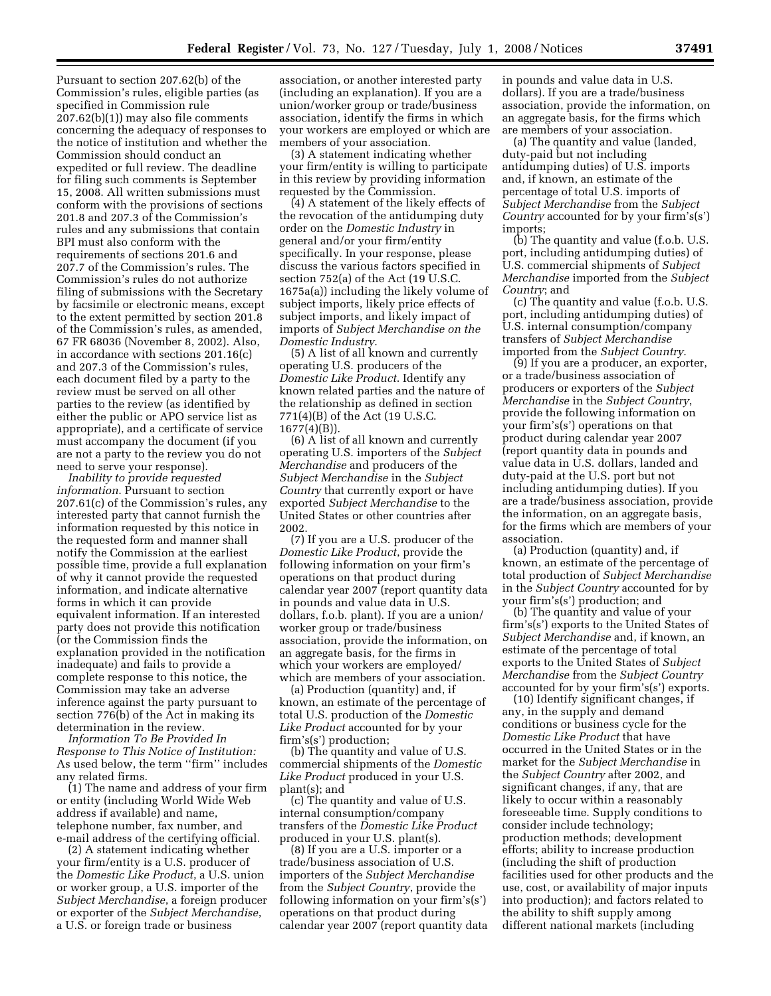Pursuant to section 207.62(b) of the Commission's rules, eligible parties (as specified in Commission rule 207.62(b)(1)) may also file comments concerning the adequacy of responses to the notice of institution and whether the Commission should conduct an expedited or full review. The deadline for filing such comments is September 15, 2008. All written submissions must conform with the provisions of sections 201.8 and 207.3 of the Commission's rules and any submissions that contain BPI must also conform with the requirements of sections 201.6 and 207.7 of the Commission's rules. The Commission's rules do not authorize filing of submissions with the Secretary by facsimile or electronic means, except to the extent permitted by section 201.8 of the Commission's rules, as amended, 67 FR 68036 (November 8, 2002). Also, in accordance with sections 201.16(c) and 207.3 of the Commission's rules, each document filed by a party to the review must be served on all other parties to the review (as identified by either the public or APO service list as appropriate), and a certificate of service must accompany the document (if you are not a party to the review you do not need to serve your response).

*Inability to provide requested information*. Pursuant to section 207.61(c) of the Commission's rules, any interested party that cannot furnish the information requested by this notice in the requested form and manner shall notify the Commission at the earliest possible time, provide a full explanation of why it cannot provide the requested information, and indicate alternative forms in which it can provide equivalent information. If an interested party does not provide this notification (or the Commission finds the explanation provided in the notification inadequate) and fails to provide a complete response to this notice, the Commission may take an adverse inference against the party pursuant to section 776(b) of the Act in making its determination in the review.

*Information To Be Provided In Response to This Notice of Institution:*  As used below, the term ''firm'' includes any related firms.

(1) The name and address of your firm or entity (including World Wide Web address if available) and name, telephone number, fax number, and e-mail address of the certifying official.

(2) A statement indicating whether your firm/entity is a U.S. producer of the *Domestic Like Product*, a U.S. union or worker group, a U.S. importer of the *Subject Merchandise*, a foreign producer or exporter of the *Subject Merchandise*, a U.S. or foreign trade or business

association, or another interested party (including an explanation). If you are a union/worker group or trade/business association, identify the firms in which your workers are employed or which are members of your association.

(3) A statement indicating whether your firm/entity is willing to participate in this review by providing information requested by the Commission.

(4) A statement of the likely effects of the revocation of the antidumping duty order on the *Domestic Industry* in general and/or your firm/entity specifically. In your response, please discuss the various factors specified in section 752(a) of the Act (19 U.S.C. 1675a(a)) including the likely volume of subject imports, likely price effects of subject imports, and likely impact of imports of *Subject Merchandise on the Domestic Industry*.

(5) A list of all known and currently operating U.S. producers of the *Domestic Like Product*. Identify any known related parties and the nature of the relationship as defined in section 771(4)(B) of the Act (19 U.S.C. 1677(4)(B)).

(6) A list of all known and currently operating U.S. importers of the *Subject Merchandise* and producers of the *Subject Merchandise* in the *Subject Country* that currently export or have exported *Subject Merchandise* to the United States or other countries after 2002.

(7) If you are a U.S. producer of the *Domestic Like Product*, provide the following information on your firm's operations on that product during calendar year 2007 (report quantity data in pounds and value data in U.S. dollars, f.o.b. plant). If you are a union/ worker group or trade/business association, provide the information, on an aggregate basis, for the firms in which your workers are employed/ which are members of your association.

(a) Production (quantity) and, if known, an estimate of the percentage of total U.S. production of the *Domestic Like Product* accounted for by your firm's(s') production;

(b) The quantity and value of U.S. commercial shipments of the *Domestic Like Product* produced in your U.S. plant(s); and

(c) The quantity and value of U.S. internal consumption/company transfers of the *Domestic Like Product*  produced in your U.S. plant(s).

(8) If you are a U.S. importer or a trade/business association of U.S. importers of the *Subject Merchandise*  from the *Subject Country*, provide the following information on your firm's(s') operations on that product during calendar year 2007 (report quantity data in pounds and value data in U.S. dollars). If you are a trade/business association, provide the information, on an aggregate basis, for the firms which are members of your association.

(a) The quantity and value (landed, duty-paid but not including antidumping duties) of U.S. imports and, if known, an estimate of the percentage of total U.S. imports of *Subject Merchandise* from the *Subject Country* accounted for by your firm's(s') imports;

(b) The quantity and value (f.o.b. U.S. port, including antidumping duties) of U.S. commercial shipments of *Subject Merchandise* imported from the *Subject Country*; and

(c) The quantity and value (f.o.b. U.S. port, including antidumping duties) of U.S. internal consumption/company transfers of *Subject Merchandise*  imported from the *Subject Country*.

(9) If you are a producer, an exporter, or a trade/business association of producers or exporters of the *Subject Merchandise* in the *Subject Country*, provide the following information on your firm's(s') operations on that product during calendar year 2007 (report quantity data in pounds and value data in U.S. dollars, landed and duty-paid at the U.S. port but not including antidumping duties). If you are a trade/business association, provide the information, on an aggregate basis, for the firms which are members of your association.

(a) Production (quantity) and, if known, an estimate of the percentage of total production of *Subject Merchandise*  in the *Subject Country* accounted for by your firm's(s') production; and

(b) The quantity and value of your firm's(s') exports to the United States of *Subject Merchandise* and, if known, an estimate of the percentage of total exports to the United States of *Subject Merchandise* from the *Subject Country*  accounted for by your firm's(s') exports.

(10) Identify significant changes, if any, in the supply and demand conditions or business cycle for the *Domestic Like Product* that have occurred in the United States or in the market for the *Subject Merchandise* in the *Subject Country* after 2002, and significant changes, if any, that are likely to occur within a reasonably foreseeable time. Supply conditions to consider include technology; production methods; development efforts; ability to increase production (including the shift of production facilities used for other products and the use, cost, or availability of major inputs into production); and factors related to the ability to shift supply among different national markets (including